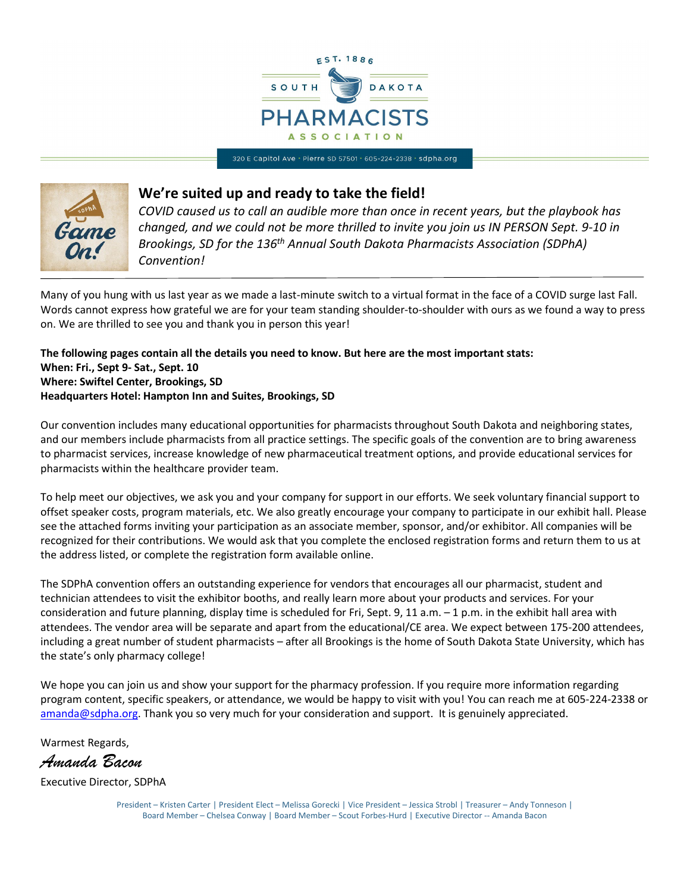

320 E Capitol Ave · Pierre SD 57501 · 605-224-2338 · sdpha.org



#### **We're suited up and ready to take the field!**

*COVID caused us to call an audible more than once in recent years, but the playbook has changed, and we could not be more thrilled to invite you join us IN PERSON Sept. 9-10 in Brookings, SD for the 136th Annual South Dakota Pharmacists Association (SDPhA) Convention!*

Many of you hung with us last year as we made a last-minute switch to a virtual format in the face of a COVID surge last Fall. Words cannot express how grateful we are for your team standing shoulder-to-shoulder with ours as we found a way to press on. We are thrilled to see you and thank you in person this year!

**The following pages contain all the details you need to know. But here are the most important stats: When: Fri., Sept 9- Sat., Sept. 10 Where: Swiftel Center, Brookings, SD Headquarters Hotel: Hampton Inn and Suites, Brookings, SD**

Our convention includes many educational opportunities for pharmacists throughout South Dakota and neighboring states, and our members include pharmacists from all practice settings. The specific goals of the convention are to bring awareness to pharmacist services, increase knowledge of new pharmaceutical treatment options, and provide educational services for pharmacists within the healthcare provider team.

To help meet our objectives, we ask you and your company for support in our efforts. We seek voluntary financial support to offset speaker costs, program materials, etc. We also greatly encourage your company to participate in our exhibit hall. Please see the attached forms inviting your participation as an associate member, sponsor, and/or exhibitor. All companies will be recognized for their contributions. We would ask that you complete the enclosed registration forms and return them to us at the address listed, or complete the registration form available online.

The SDPhA convention offers an outstanding experience for vendors that encourages all our pharmacist, student and technician attendees to visit the exhibitor booths, and really learn more about your products and services. For your consideration and future planning, display time is scheduled for Fri, Sept. 9, 11 a.m. - 1 p.m. in the exhibit hall area with attendees. The vendor area will be separate and apart from the educational/CE area. We expect between 175-200 attendees, including a great number of student pharmacists – after all Brookings is the home of South Dakota State University, which has the state's only pharmacy college!

We hope you can join us and show your support for the pharmacy profession. If you require more information regarding program content, specific speakers, or attendance, we would be happy to visit with you! You can reach me at 605-224-2338 or amanda@sdpha.org. Thank you so very much for your consideration and support. It is genuinely appreciated.

Warmest Regards,

*Amanda Bacon* 

Executive Director, SDPhA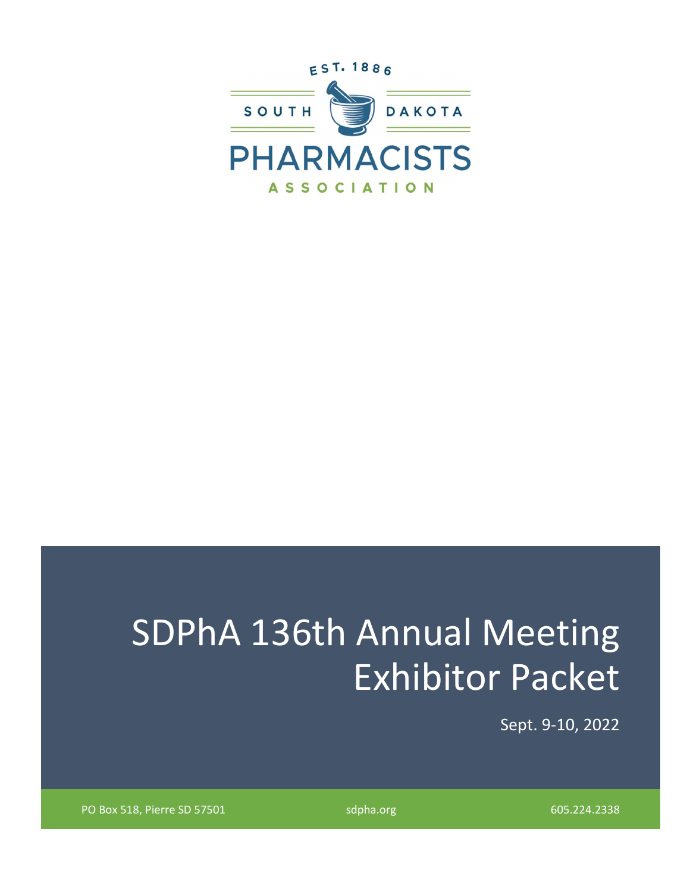

# SDPhA 136th Annual Meeting Exhibitor Packet

Sept. 9-10, 2022

PO Box 518, Pierre SD 57501 sdpha.org 605.224.2338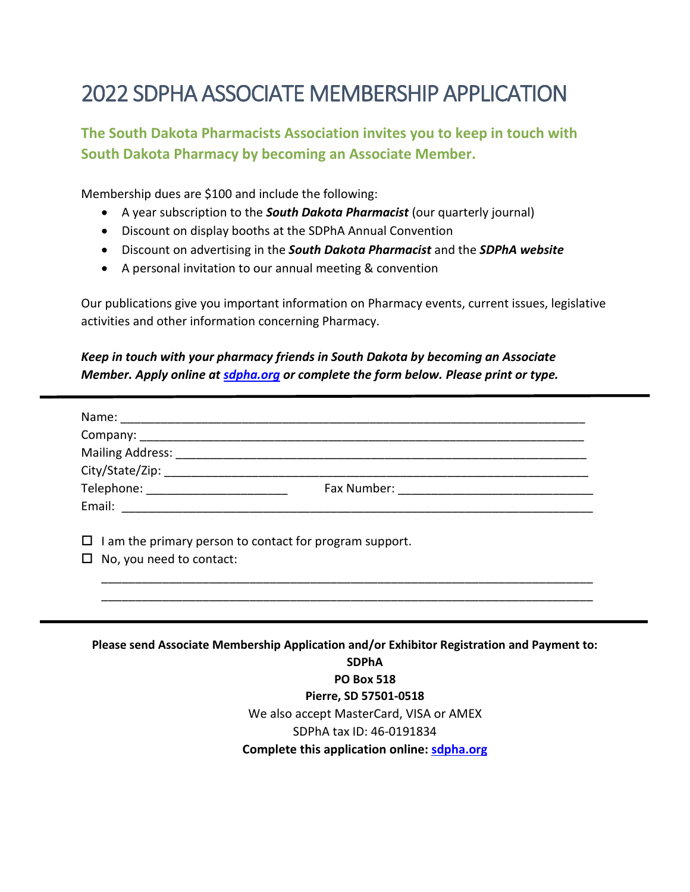## 2022 SDPHA ASSOCIATE MEMBERSHIP APPLICATION

#### **The South Dakota Pharmacists Association invites you to keep in touch with South Dakota Pharmacy by becoming an Associate Member.**

Membership dues are \$100 and include the following:

- A year subscription to the *South Dakota Pharmacist* (our quarterly journal)
- Discount on display booths at the SDPhA Annual Convention
- Discount on advertising in the *South Dakota Pharmacist* and the *SDPhA website*
- A personal invitation to our annual meeting & convention

Our publications give you important information on Pharmacy events, current issues, legislative activities and other information concerning Pharmacy.

#### *Keep in touch with your pharmacy friends in South Dakota by becoming an Associate Member. Apply online at [sdpha.org](http://www.sdpha.org/) or complete the form below. Please print or type.*

| Telephone: _________________________ |                                                         |
|--------------------------------------|---------------------------------------------------------|
|                                      |                                                         |
|                                      | I am the primary person to contact for program support. |
| ப<br>No, you need to contact:        |                                                         |

**PO Box 518 Pierre, SD 57501-0518** We also accept MasterCard, VISA or AMEX SDPhA tax ID: 46-0191834 **Complete this application online: [sdpha.org](http://www.sdpha.org/)**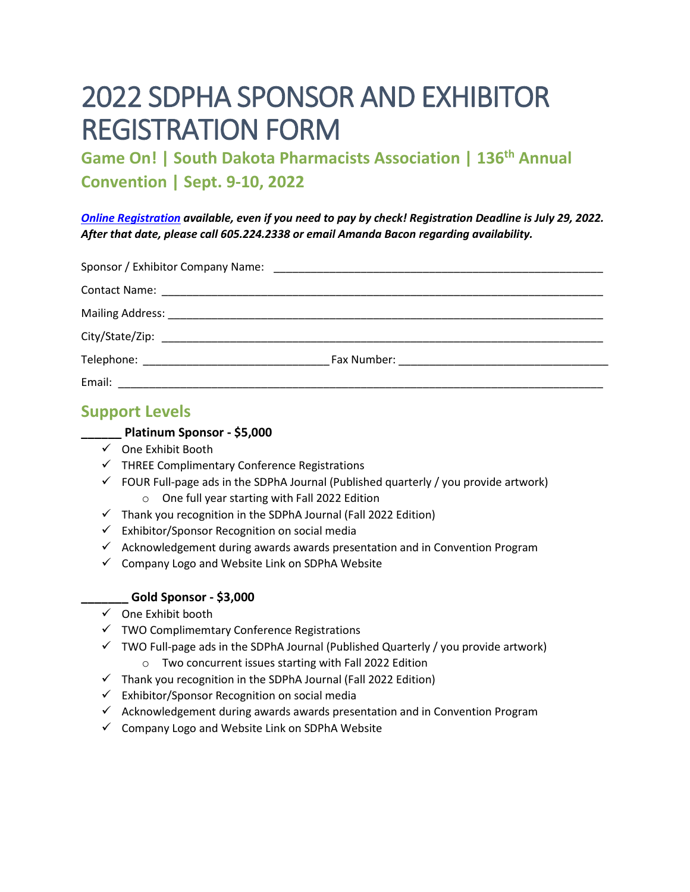## 2022 SDPHA SPONSOR AND EXHIBITOR REGISTRATION FORM

**Game On! | South Dakota Pharmacists Association | 136th Annual Convention | Sept. 9-10, 2022** 

*[Online Registration](https://www.sdpha.org/annual-convention/exhibitor-sponsor-information) available, even if you need to pay by check! Registration Deadline is July 29, 2022. After that date, please call 605.224.2338 or email Amanda Bacon regarding availability.* 

| Email: |  |
|--------|--|

#### **Support Levels**

#### **\_\_\_\_\_\_ Platinum Sponsor - \$5,000**

- $\checkmark$  One Exhibit Booth
- $\checkmark$  THREE Complimentary Conference Registrations
- $\checkmark$  FOUR Full-page ads in the SDPhA Journal (Published quarterly / you provide artwork)
	- o One full year starting with Fall 2022 Edition
- $\checkmark$  Thank you recognition in the SDPhA Journal (Fall 2022 Edition)
- $\checkmark$  Exhibitor/Sponsor Recognition on social media
- $\checkmark$  Acknowledgement during awards awards presentation and in Convention Program
- $\checkmark$  Company Logo and Website Link on SDPhA Website

#### **\_\_\_\_\_\_\_ Gold Sponsor - \$3,000**

- $\checkmark$  One Exhibit booth
- $\checkmark$  TWO Complimemtary Conference Registrations
- $\checkmark$  TWO Full-page ads in the SDPhA Journal (Published Quarterly / you provide artwork)
	- o Two concurrent issues starting with Fall 2022 Edition
- $\checkmark$  Thank you recognition in the SDPhA Journal (Fall 2022 Edition)
- $\checkmark$  Exhibitor/Sponsor Recognition on social media
- $\checkmark$  Acknowledgement during awards awards presentation and in Convention Program
- $\checkmark$  Company Logo and Website Link on SDPhA Website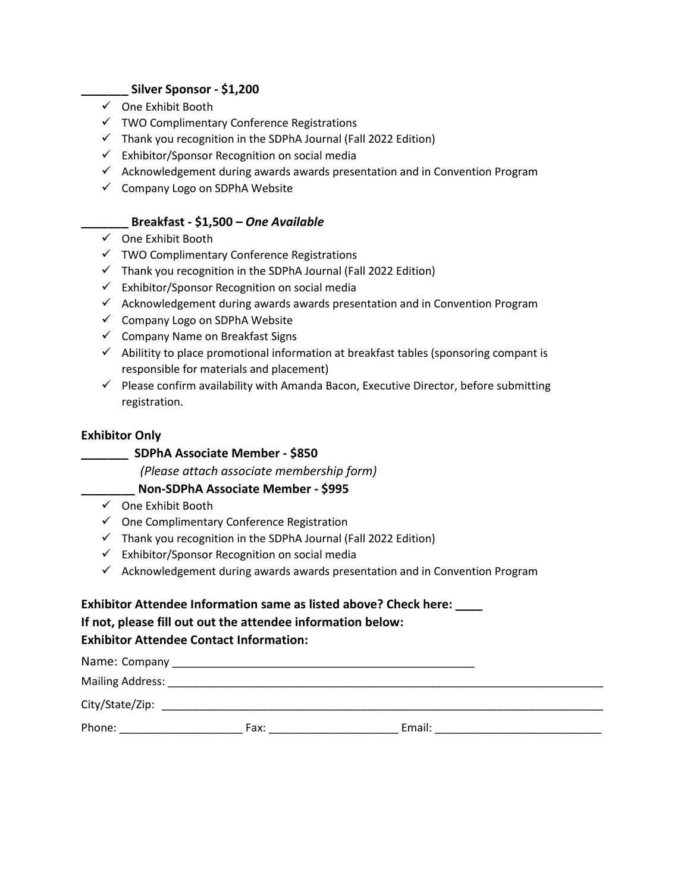#### **\_\_\_\_\_\_\_ Silver Sponsor - \$1,200**

- $\checkmark$  One Exhibit Booth
- $\checkmark$  TWO Complimentary Conference Registrations
- $\checkmark$  Thank you recognition in the SDPhA Journal (Fall 2022 Edition)
- $\checkmark$  Exhibitor/Sponsor Recognition on social media
- $\checkmark$  Acknowledgement during awards awards presentation and in Convention Program
- $\checkmark$  Company Logo on SDPhA Website

#### **\_\_\_\_\_\_\_ Breakfast - \$1,500 –** *One Available*

- $\checkmark$  One Exhibit Booth
- $\checkmark$  TWO Complimentary Conference Registrations
- $\checkmark$  Thank you recognition in the SDPhA Journal (Fall 2022 Edition)
- $\checkmark$  Exhibitor/Sponsor Recognition on social media
- $\checkmark$  Acknowledgement during awards awards presentation and in Convention Program
- $\checkmark$  Company Logo on SDPhA Website
- $\checkmark$  Company Name on Breakfast Signs
- $\checkmark$  Abilitity to place promotional information at breakfast tables (sponsoring compant is responsible for materials and placement)
- $\checkmark$  Please confirm availability with Amanda Bacon, Executive Director, before submitting registration.

#### **Exhibitor Only**

#### **\_\_\_\_\_\_\_ SDPhA Associate Member - \$850**

 *(Please attach associate membership form)*

#### **\_\_\_\_\_\_\_\_ Non-SDPhA Associate Member - \$995**

- $\checkmark$  One Exhibit Booth
- $\checkmark$  One Complimentary Conference Registration
- $\checkmark$  Thank you recognition in the SDPhA Journal (Fall 2022 Edition)
- $\checkmark$  Exhibitor/Sponsor Recognition on social media
- $\checkmark$  Acknowledgement during awards awards presentation and in Convention Program

#### **Exhibitor Attendee Information same as listed above? Check here: \_\_\_\_**

#### **If not, please fill out out the attendee information below:**

#### **Exhibitor Attendee Contact Information:**

| Name: Company    |      |        |  |
|------------------|------|--------|--|
| Mailing Address: |      |        |  |
| City/State/Zip:  |      |        |  |
| Phone:           | Fax: | Email: |  |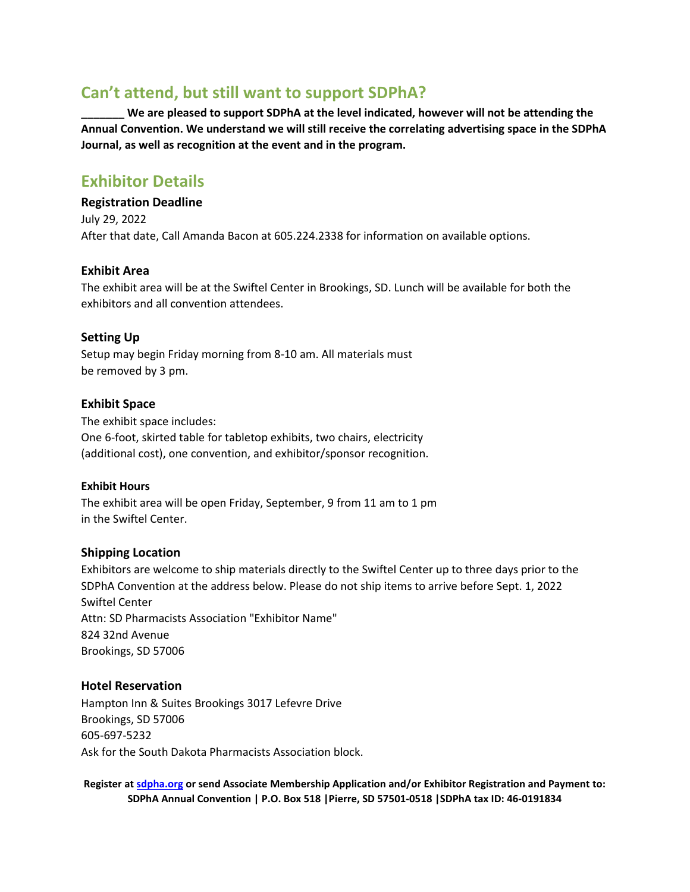#### **Can't attend, but still want to support SDPhA?**

We are pleased to support SDPhA at the level indicated, however will not be attending the **Annual Convention. We understand we will still receive the correlating advertising space in the SDPhA Journal, as well as recognition at the event and in the program.** 

#### **Exhibitor Details**

**Registration Deadline**  July 29, 2022 After that date, Call Amanda Bacon at 605.224.2338 for information on available options.

#### **Exhibit Area**

The exhibit area will be at the Swiftel Center in Brookings, SD. Lunch will be available for both the exhibitors and all convention attendees.

#### **Setting Up**

Setup may begin Friday morning from 8-10 am. All materials must be removed by 3 pm.

#### **Exhibit Space**

The exhibit space includes: One 6-foot, skirted table for tabletop exhibits, two chairs, electricity (additional cost), one convention, and exhibitor/sponsor recognition.

#### **Exhibit Hours**

The exhibit area will be open Friday, September, 9 from 11 am to 1 pm in the Swiftel Center.

#### **Shipping Location**

Exhibitors are welcome to ship materials directly to the Swiftel Center up to three days prior to the SDPhA Convention at the address below. Please do not ship items to arrive before Sept. 1, 2022 Swiftel Center Attn: SD Pharmacists Association "Exhibitor Name" 824 32nd Avenue Brookings, SD 57006

#### **Hotel Reservation**

Hampton Inn & Suites Brookings 3017 Lefevre Drive Brookings, SD 57006 605-697-5232 Ask for the South Dakota Pharmacists Association block.

**Register at [sdpha.org](https://www.sdpha.org/annual-convention/exhibitor-and-sponsor-registration) or send Associate Membership Application and/or Exhibitor Registration and Payment to: SDPhA Annual Convention | P.O. Box 518 |Pierre, SD 57501-0518 |SDPhA tax ID: 46-0191834**